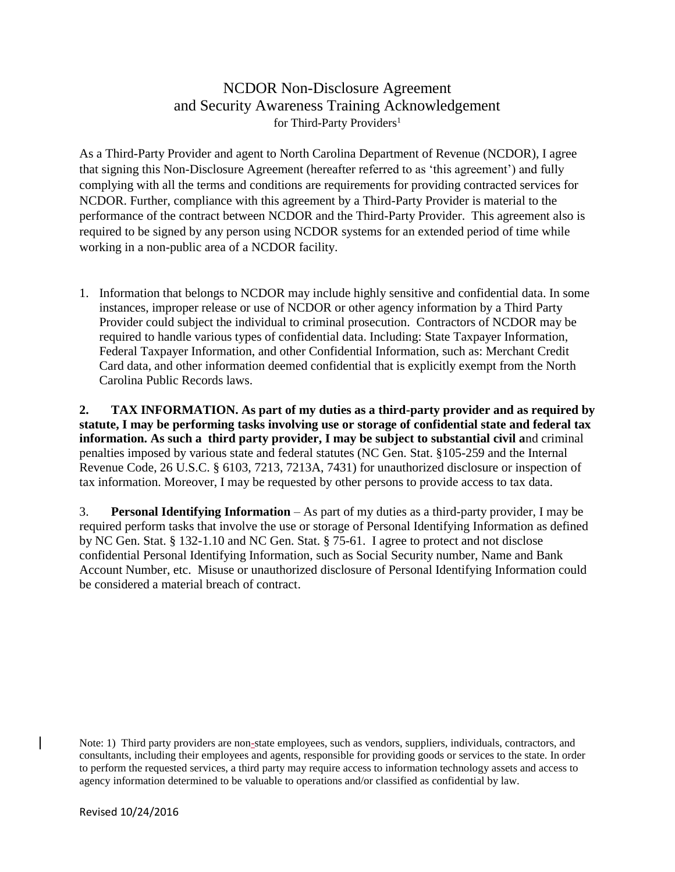## NCDOR Non-Disclosure Agreement and Security Awareness Training Acknowledgement for Third-Party Providers<sup>1</sup>

As a Third-Party Provider and agent to North Carolina Department of Revenue (NCDOR), I agree that signing this Non-Disclosure Agreement (hereafter referred to as 'this agreement') and fully complying with all the terms and conditions are requirements for providing contracted services for NCDOR. Further, compliance with this agreement by a Third-Party Provider is material to the performance of the contract between NCDOR and the Third-Party Provider. This agreement also is required to be signed by any person using NCDOR systems for an extended period of time while working in a non-public area of a NCDOR facility.

1. Information that belongs to NCDOR may include highly sensitive and confidential data. In some instances, improper release or use of NCDOR or other agency information by a Third Party Provider could subject the individual to criminal prosecution. Contractors of NCDOR may be required to handle various types of confidential data. Including: State Taxpayer Information, Federal Taxpayer Information, and other Confidential Information, such as: Merchant Credit Card data, and other information deemed confidential that is explicitly exempt from the North Carolina Public Records laws.

**2. TAX INFORMATION. As part of my duties as a third-party provider and as required by statute, I may be performing tasks involving use or storage of confidential state and federal tax information. As such a third party provider, I may be subject to substantial civil a**nd criminal penalties imposed by various state and federal statutes (NC Gen. Stat. §105-259 and the Internal Revenue Code, 26 U.S.C. § 6103, 7213, 7213A, 7431) for unauthorized disclosure or inspection of tax information. Moreover, I may be requested by other persons to provide access to tax data.

3. **Personal Identifying Information** – As part of my duties as a third-party provider, I may be required perform tasks that involve the use or storage of Personal Identifying Information as defined by NC Gen. Stat. § 132-1.10 and NC Gen. Stat. § 75-61. I agree to protect and not disclose confidential Personal Identifying Information, such as Social Security number, Name and Bank Account Number, etc. Misuse or unauthorized disclosure of Personal Identifying Information could be considered a material breach of contract.

Note: 1) Third party providers are non-state employees, such as vendors, suppliers, individuals, contractors, and consultants, including their employees and agents, responsible for providing goods or services to the state. In order to perform the requested services, a third party may require access to information technology assets and access to agency information determined to be valuable to operations and/or classified as confidential by law.